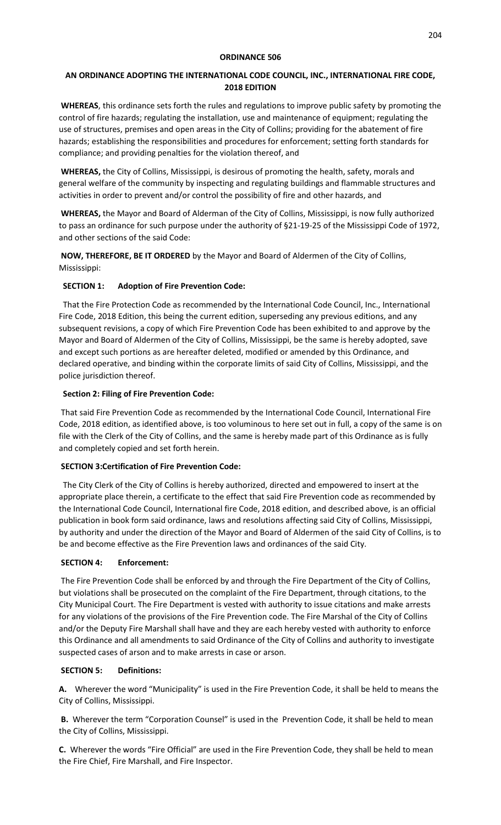#### **ORDINANCE 506**

# **AN ORDINANCE ADOPTING THE INTERNATIONAL CODE COUNCIL, INC., INTERNATIONAL FIRE CODE, 2018 EDITION**

**WHEREAS**, this ordinance sets forth the rules and regulations to improve public safety by promoting the control of fire hazards; regulating the installation, use and maintenance of equipment; regulating the use of structures, premises and open areas in the City of Collins; providing for the abatement of fire hazards; establishing the responsibilities and procedures for enforcement; setting forth standards for compliance; and providing penalties for the violation thereof, and

**WHEREAS,** the City of Collins, Mississippi, is desirous of promoting the health, safety, morals and general welfare of the community by inspecting and regulating buildings and flammable structures and activities in order to prevent and/or control the possibility of fire and other hazards, and

**WHEREAS,** the Mayor and Board of Alderman of the City of Collins, Mississippi, is now fully authorized to pass an ordinance for such purpose under the authority of §21-19-25 of the Mississippi Code of 1972, and other sections of the said Code:

**NOW, THEREFORE, BE IT ORDERED** by the Mayor and Board of Aldermen of the City of Collins, Mississippi:

# **SECTION 1: Adoption of Fire Prevention Code:**

 That the Fire Protection Code as recommended by the International Code Council, Inc., International Fire Code, 2018 Edition, this being the current edition, superseding any previous editions, and any subsequent revisions, a copy of which Fire Prevention Code has been exhibited to and approve by the Mayor and Board of Aldermen of the City of Collins, Mississippi, be the same is hereby adopted, save and except such portions as are hereafter deleted, modified or amended by this Ordinance, and declared operative, and binding within the corporate limits of said City of Collins, Mississippi, and the police jurisdiction thereof.

#### **Section 2: Filing of Fire Prevention Code:**

That said Fire Prevention Code as recommended by the International Code Council, International Fire Code, 2018 edition, as identified above, is too voluminous to here set out in full, a copy of the same is on file with the Clerk of the City of Collins, and the same is hereby made part of this Ordinance as is fully and completely copied and set forth herein.

# **SECTION 3:Certification of Fire Prevention Code:**

 The City Clerk of the City of Collins is hereby authorized, directed and empowered to insert at the appropriate place therein, a certificate to the effect that said Fire Prevention code as recommended by the International Code Council, International fire Code, 2018 edition, and described above, is an official publication in book form said ordinance, laws and resolutions affecting said City of Collins, Mississippi, by authority and under the direction of the Mayor and Board of Aldermen of the said City of Collins, is to be and become effective as the Fire Prevention laws and ordinances of the said City.

#### **SECTION 4: Enforcement:**

The Fire Prevention Code shall be enforced by and through the Fire Department of the City of Collins, but violations shall be prosecuted on the complaint of the Fire Department, through citations, to the City Municipal Court. The Fire Department is vested with authority to issue citations and make arrests for any violations of the provisions of the Fire Prevention code. The Fire Marshal of the City of Collins and/or the Deputy Fire Marshall shall have and they are each hereby vested with authority to enforce this Ordinance and all amendments to said Ordinance of the City of Collins and authority to investigate suspected cases of arson and to make arrests in case or arson.

# **SECTION 5: Definitions:**

**A.** Wherever the word "Municipality" is used in the Fire Prevention Code, it shall be held to means the City of Collins, Mississippi.

**B.** Wherever the term "Corporation Counsel" is used in the Prevention Code, it shall be held to mean the City of Collins, Mississippi.

**C.** Wherever the words "Fire Official" are used in the Fire Prevention Code, they shall be held to mean the Fire Chief, Fire Marshall, and Fire Inspector.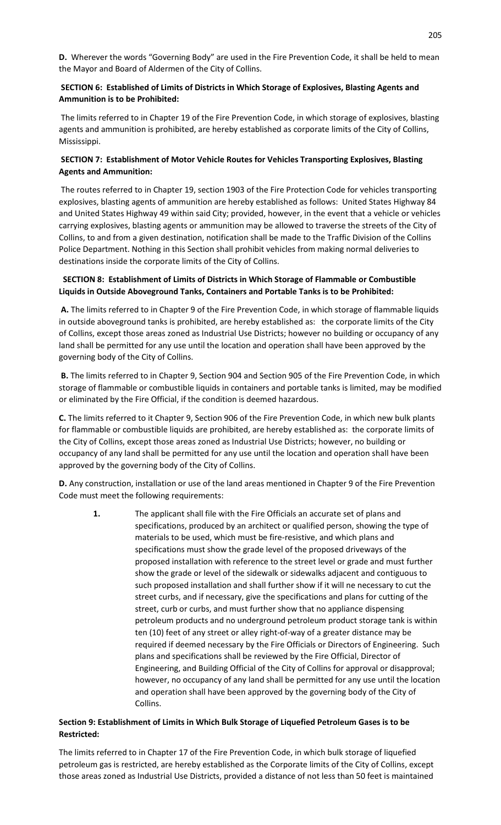**D.** Wherever the words "Governing Body" are used in the Fire Prevention Code, it shall be held to mean the Mayor and Board of Aldermen of the City of Collins.

# **SECTION 6: Established of Limits of Districts in Which Storage of Explosives, Blasting Agents and Ammunition is to be Prohibited:**

The limits referred to in Chapter 19 of the Fire Prevention Code, in which storage of explosives, blasting agents and ammunition is prohibited, are hereby established as corporate limits of the City of Collins, Mississippi.

# **SECTION 7: Establishment of Motor Vehicle Routes for Vehicles Transporting Explosives, Blasting Agents and Ammunition:**

The routes referred to in Chapter 19, section 1903 of the Fire Protection Code for vehicles transporting explosives, blasting agents of ammunition are hereby established as follows: United States Highway 84 and United States Highway 49 within said City; provided, however, in the event that a vehicle or vehicles carrying explosives, blasting agents or ammunition may be allowed to traverse the streets of the City of Collins, to and from a given destination, notification shall be made to the Traffic Division of the Collins Police Department. Nothing in this Section shall prohibit vehicles from making normal deliveries to destinations inside the corporate limits of the City of Collins.

# **SECTION 8: Establishment of Limits of Districts in Which Storage of Flammable or Combustible Liquids in Outside Aboveground Tanks, Containers and Portable Tanks is to be Prohibited:**

**A.** The limits referred to in Chapter 9 of the Fire Prevention Code, in which storage of flammable liquids in outside aboveground tanks is prohibited, are hereby established as: the corporate limits of the City of Collins, except those areas zoned as Industrial Use Districts; however no building or occupancy of any land shall be permitted for any use until the location and operation shall have been approved by the governing body of the City of Collins.

**B.** The limits referred to in Chapter 9, Section 904 and Section 905 of the Fire Prevention Code, in which storage of flammable or combustible liquids in containers and portable tanks is limited, may be modified or eliminated by the Fire Official, if the condition is deemed hazardous.

**C.** The limits referred to it Chapter 9, Section 906 of the Fire Prevention Code, in which new bulk plants for flammable or combustible liquids are prohibited, are hereby established as: the corporate limits of the City of Collins, except those areas zoned as Industrial Use Districts; however, no building or occupancy of any land shall be permitted for any use until the location and operation shall have been approved by the governing body of the City of Collins.

**D.** Any construction, installation or use of the land areas mentioned in Chapter 9 of the Fire Prevention Code must meet the following requirements:

**1.** The applicant shall file with the Fire Officials an accurate set of plans and specifications, produced by an architect or qualified person, showing the type of materials to be used, which must be fire-resistive, and which plans and specifications must show the grade level of the proposed driveways of the proposed installation with reference to the street level or grade and must further show the grade or level of the sidewalk or sidewalks adjacent and contiguous to such proposed installation and shall further show if it will ne necessary to cut the street curbs, and if necessary, give the specifications and plans for cutting of the street, curb or curbs, and must further show that no appliance dispensing petroleum products and no underground petroleum product storage tank is within ten (10) feet of any street or alley right-of-way of a greater distance may be required if deemed necessary by the Fire Officials or Directors of Engineering. Such plans and specifications shall be reviewed by the Fire Official, Director of Engineering, and Building Official of the City of Collins for approval or disapproval; however, no occupancy of any land shall be permitted for any use until the location and operation shall have been approved by the governing body of the City of Collins.

# **Section 9: Establishment of Limits in Which Bulk Storage of Liquefied Petroleum Gases is to be Restricted:**

The limits referred to in Chapter 17 of the Fire Prevention Code, in which bulk storage of liquefied petroleum gas is restricted, are hereby established as the Corporate limits of the City of Collins, except those areas zoned as Industrial Use Districts, provided a distance of not less than 50 feet is maintained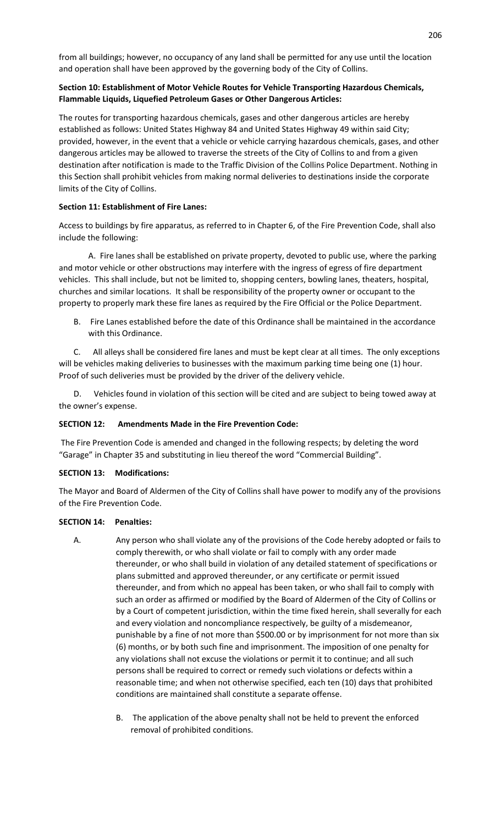from all buildings; however, no occupancy of any land shall be permitted for any use until the location and operation shall have been approved by the governing body of the City of Collins.

#### **Section 10: Establishment of Motor Vehicle Routes for Vehicle Transporting Hazardous Chemicals, Flammable Liquids, Liquefied Petroleum Gases or Other Dangerous Articles:**

The routes for transporting hazardous chemicals, gases and other dangerous articles are hereby established as follows: United States Highway 84 and United States Highway 49 within said City; provided, however, in the event that a vehicle or vehicle carrying hazardous chemicals, gases, and other dangerous articles may be allowed to traverse the streets of the City of Collins to and from a given destination after notification is made to the Traffic Division of the Collins Police Department. Nothing in this Section shall prohibit vehicles from making normal deliveries to destinations inside the corporate limits of the City of Collins.

#### **Section 11: Establishment of Fire Lanes:**

Access to buildings by fire apparatus, as referred to in Chapter 6, of the Fire Prevention Code, shall also include the following:

 A. Fire lanes shall be established on private property, devoted to public use, where the parking and motor vehicle or other obstructions may interfere with the ingress of egress of fire department vehicles. This shall include, but not be limited to, shopping centers, bowling lanes, theaters, hospital, churches and similar locations. It shall be responsibility of the property owner or occupant to the property to properly mark these fire lanes as required by the Fire Official or the Police Department.

B. Fire Lanes established before the date of this Ordinance shall be maintained in the accordance with this Ordinance.

All alleys shall be considered fire lanes and must be kept clear at all times. The only exceptions will be vehicles making deliveries to businesses with the maximum parking time being one (1) hour. Proof of such deliveries must be provided by the driver of the delivery vehicle.

D. Vehicles found in violation of this section will be cited and are subject to being towed away at the owner's expense.

# **SECTION 12: Amendments Made in the Fire Prevention Code:**

The Fire Prevention Code is amended and changed in the following respects; by deleting the word "Garage" in Chapter 35 and substituting in lieu thereof the word "Commercial Building".

#### **SECTION 13: Modifications:**

The Mayor and Board of Aldermen of the City of Collins shall have power to modify any of the provisions of the Fire Prevention Code.

#### **SECTION 14: Penalties:**

- A. Any person who shall violate any of the provisions of the Code hereby adopted or fails to comply therewith, or who shall violate or fail to comply with any order made thereunder, or who shall build in violation of any detailed statement of specifications or plans submitted and approved thereunder, or any certificate or permit issued thereunder, and from which no appeal has been taken, or who shall fail to comply with such an order as affirmed or modified by the Board of Aldermen of the City of Collins or by a Court of competent jurisdiction, within the time fixed herein, shall severally for each and every violation and noncompliance respectively, be guilty of a misdemeanor, punishable by a fine of not more than \$500.00 or by imprisonment for not more than six (6) months, or by both such fine and imprisonment. The imposition of one penalty for any violations shall not excuse the violations or permit it to continue; and all such persons shall be required to correct or remedy such violations or defects within a reasonable time; and when not otherwise specified, each ten (10) days that prohibited conditions are maintained shall constitute a separate offense.
	- B. The application of the above penalty shall not be held to prevent the enforced removal of prohibited conditions.